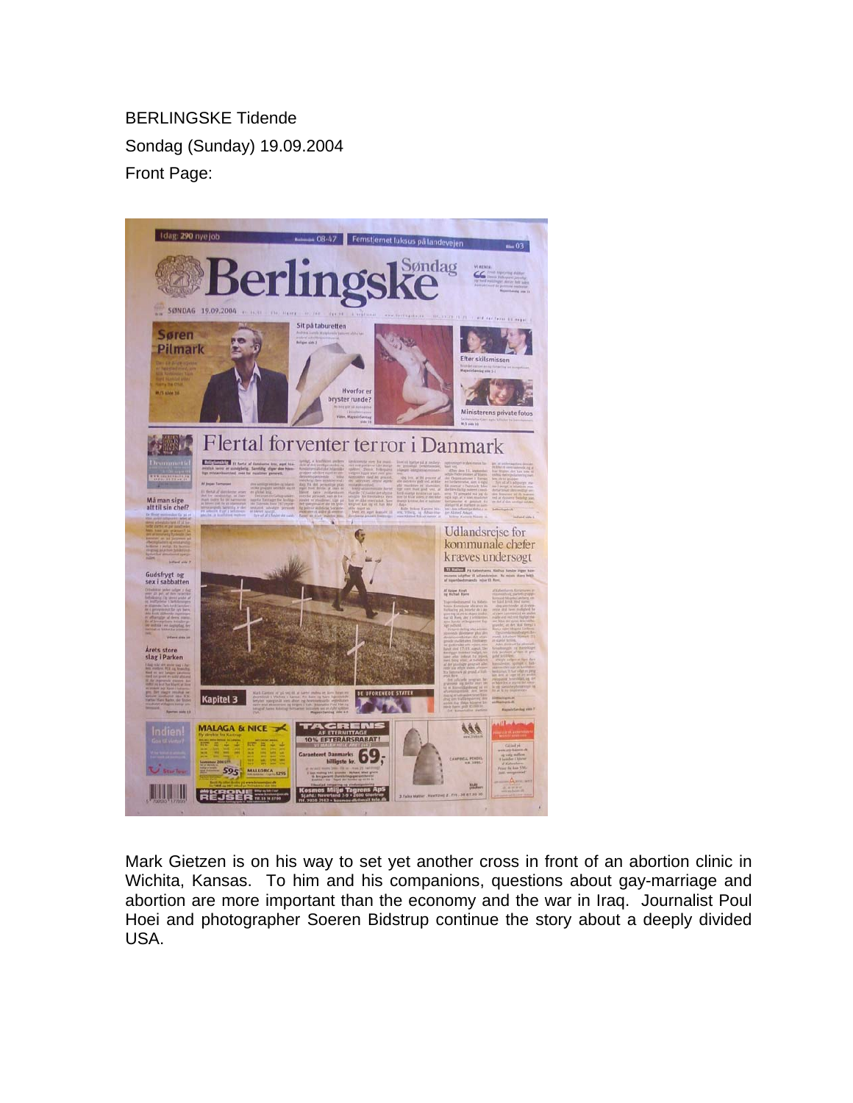BERLINGSKE Tidende Sondag (Sunday) 19.09.2004 Front Page:



Mark Gietzen is on his way to set yet another cross in front of an abortion clinic in Wichita, Kansas. To him and his companions, questions about gay-marriage and abortion are more important than the economy and the war in Iraq. Journalist Poul Hoei and photographer Soeren Bidstrup continue the story about a deeply divided USA.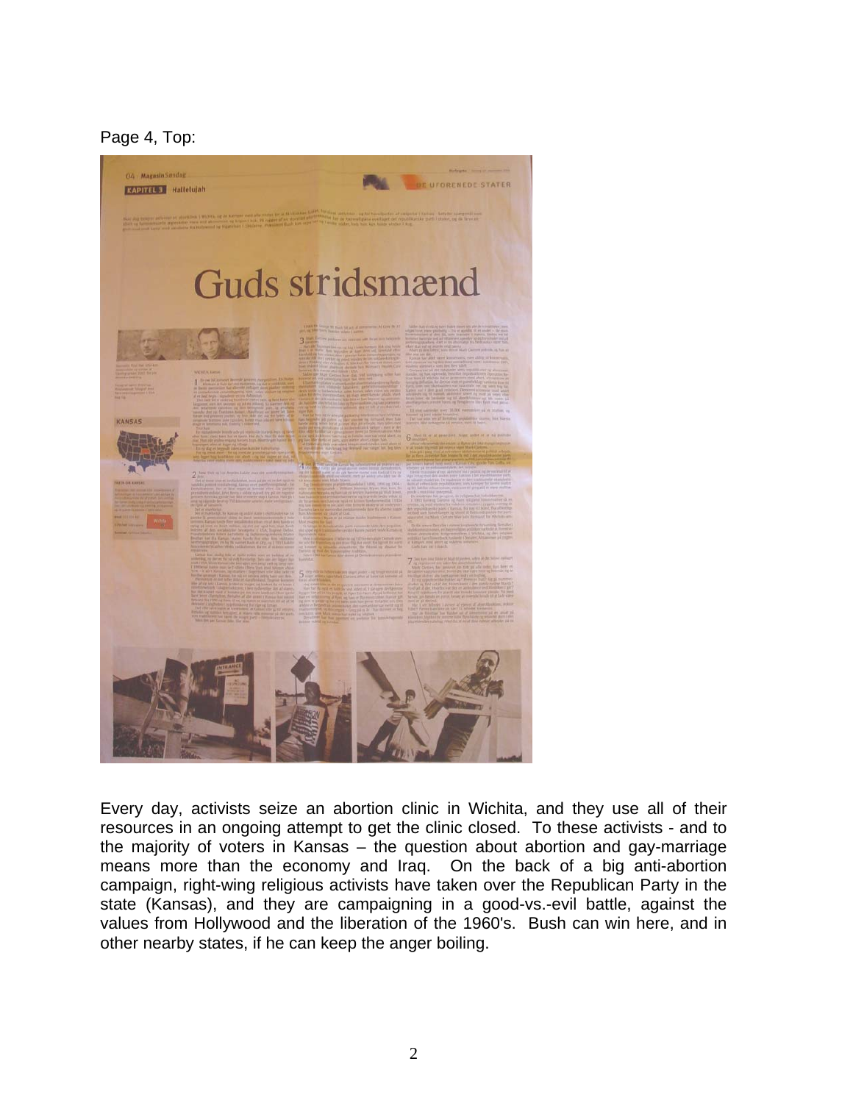Page 4, Top:



Every day, activists seize an abortion clinic in Wichita, and they use all of their resources in an ongoing attempt to get the clinic closed. To these activists - and to the majority of voters in Kansas – the question about abortion and gay-marriage means more than the economy and Iraq. On the back of a big anti-abortion campaign, right-wing religious activists have taken over the Republican Party in the state (Kansas), and they are campaigning in a good-vs.-evil battle, against the values from Hollywood and the liberation of the 1960's. Bush can win here, and in other nearby states, if he can keep the anger boiling.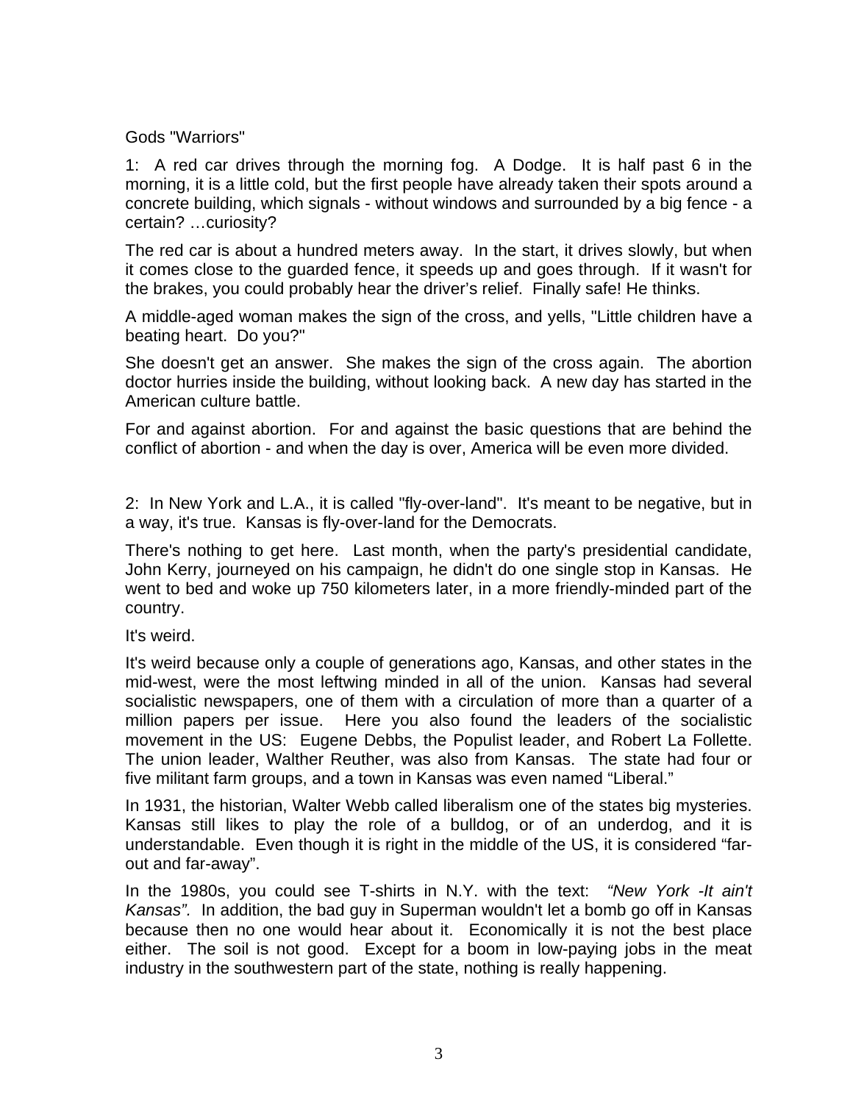## Gods "Warriors"

1: A red car drives through the morning fog. A Dodge. It is half past 6 in the morning, it is a little cold, but the first people have already taken their spots around a concrete building, which signals - without windows and surrounded by a big fence - a certain? …curiosity?

The red car is about a hundred meters away. In the start, it drives slowly, but when it comes close to the guarded fence, it speeds up and goes through. If it wasn't for the brakes, you could probably hear the driver's relief. Finally safe! He thinks.

A middle-aged woman makes the sign of the cross, and yells, "Little children have a beating heart. Do you?"

She doesn't get an answer. She makes the sign of the cross again. The abortion doctor hurries inside the building, without looking back. A new day has started in the American culture battle.

For and against abortion. For and against the basic questions that are behind the conflict of abortion - and when the day is over, America will be even more divided.

2: In New York and L.A., it is called "fly-over-land". It's meant to be negative, but in a way, it's true. Kansas is fly-over-land for the Democrats.

There's nothing to get here. Last month, when the party's presidential candidate, John Kerry, journeyed on his campaign, he didn't do one single stop in Kansas. He went to bed and woke up 750 kilometers later, in a more friendly-minded part of the country.

It's weird.

It's weird because only a couple of generations ago, Kansas, and other states in the mid-west, were the most leftwing minded in all of the union. Kansas had several socialistic newspapers, one of them with a circulation of more than a quarter of a million papers per issue. Here you also found the leaders of the socialistic movement in the US: Eugene Debbs, the Populist leader, and Robert La Follette. The union leader, Walther Reuther, was also from Kansas. The state had four or five militant farm groups, and a town in Kansas was even named "Liberal."

In 1931, the historian, Walter Webb called liberalism one of the states big mysteries. Kansas still likes to play the role of a bulldog, or of an underdog, and it is understandable. Even though it is right in the middle of the US, it is considered "farout and far-away".

In the 1980s, you could see T-shirts in N.Y. with the text: *"New York -It ain't Kansas".* In addition, the bad guy in Superman wouldn't let a bomb go off in Kansas because then no one would hear about it. Economically it is not the best place either. The soil is not good. Except for a boom in low-paying jobs in the meat industry in the southwestern part of the state, nothing is really happening.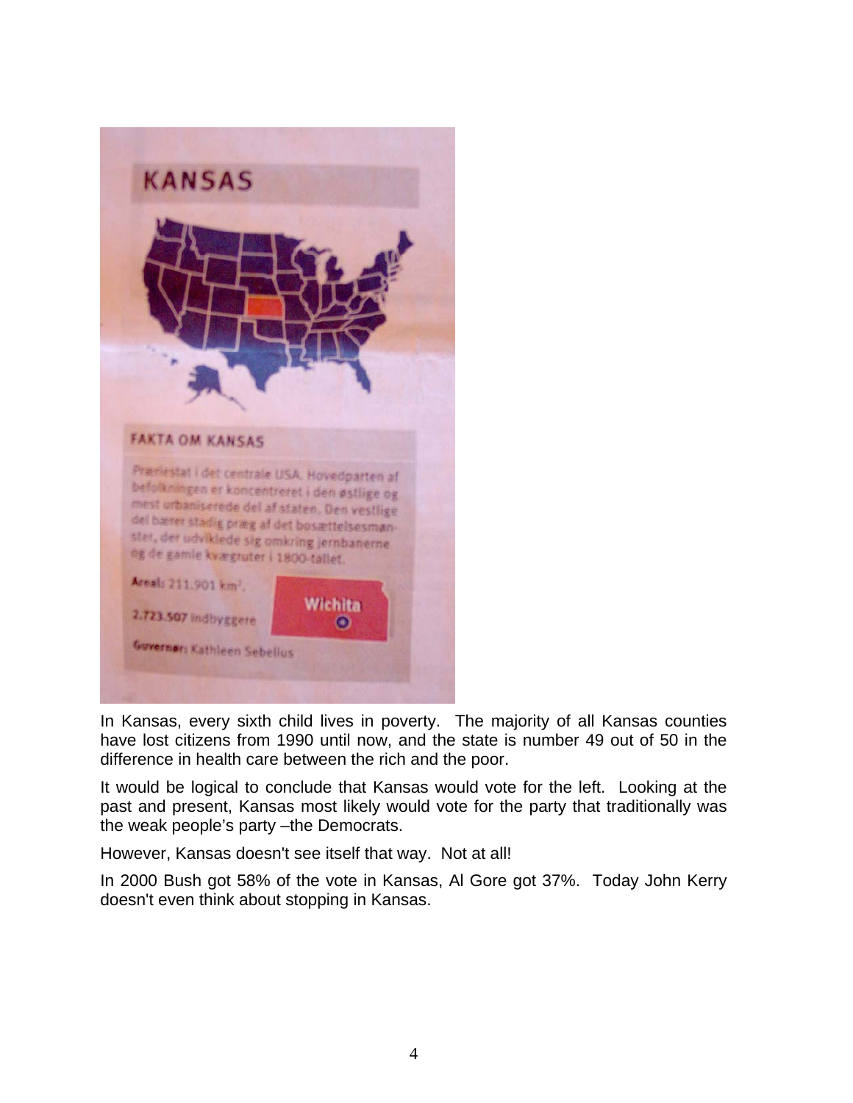

In Kansas, every sixth child lives in poverty. The majority of all Kansas counties have lost citizens from 1990 until now, and the state is number 49 out of 50 in the difference in health care between the rich and the poor.

It would be logical to conclude that Kansas would vote for the left. Looking at the past and present, Kansas most likely would vote for the party that traditionally was the weak people's party –the Democrats.

However, Kansas doesn't see itself that way. Not at all!

In 2000 Bush got 58% of the vote in Kansas, Al Gore got 37%. Today John Kerry doesn't even think about stopping in Kansas.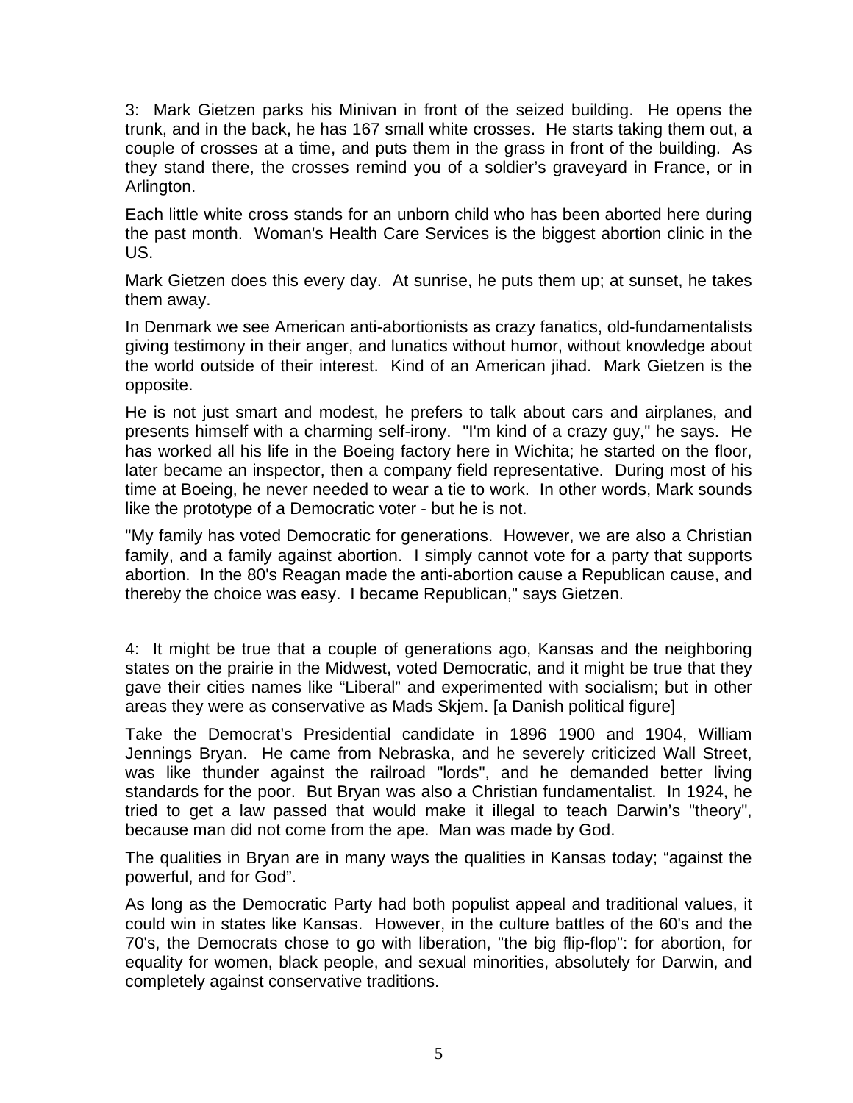3: Mark Gietzen parks his Minivan in front of the seized building. He opens the trunk, and in the back, he has 167 small white crosses. He starts taking them out, a couple of crosses at a time, and puts them in the grass in front of the building. As they stand there, the crosses remind you of a soldier's graveyard in France, or in Arlington.

Each little white cross stands for an unborn child who has been aborted here during the past month. Woman's Health Care Services is the biggest abortion clinic in the US.

Mark Gietzen does this every day. At sunrise, he puts them up; at sunset, he takes them away.

In Denmark we see American anti-abortionists as crazy fanatics, old-fundamentalists giving testimony in their anger, and lunatics without humor, without knowledge about the world outside of their interest. Kind of an American jihad. Mark Gietzen is the opposite.

He is not just smart and modest, he prefers to talk about cars and airplanes, and presents himself with a charming self-irony. "I'm kind of a crazy guy," he says. He has worked all his life in the Boeing factory here in Wichita; he started on the floor, later became an inspector, then a company field representative. During most of his time at Boeing, he never needed to wear a tie to work. In other words, Mark sounds like the prototype of a Democratic voter - but he is not.

"My family has voted Democratic for generations. However, we are also a Christian family, and a family against abortion. I simply cannot vote for a party that supports abortion. In the 80's Reagan made the anti-abortion cause a Republican cause, and thereby the choice was easy. I became Republican," says Gietzen.

4: It might be true that a couple of generations ago, Kansas and the neighboring states on the prairie in the Midwest, voted Democratic, and it might be true that they gave their cities names like "Liberal" and experimented with socialism; but in other areas they were as conservative as Mads Skjem. [a Danish political figure]

Take the Democrat's Presidential candidate in 1896 1900 and 1904, William Jennings Bryan. He came from Nebraska, and he severely criticized Wall Street, was like thunder against the railroad "lords", and he demanded better living standards for the poor. But Bryan was also a Christian fundamentalist. In 1924, he tried to get a law passed that would make it illegal to teach Darwin's "theory", because man did not come from the ape. Man was made by God.

The qualities in Bryan are in many ways the qualities in Kansas today; "against the powerful, and for God".

As long as the Democratic Party had both populist appeal and traditional values, it could win in states like Kansas. However, in the culture battles of the 60's and the 70's, the Democrats chose to go with liberation, "the big flip-flop": for abortion, for equality for women, black people, and sexual minorities, absolutely for Darwin, and completely against conservative traditions.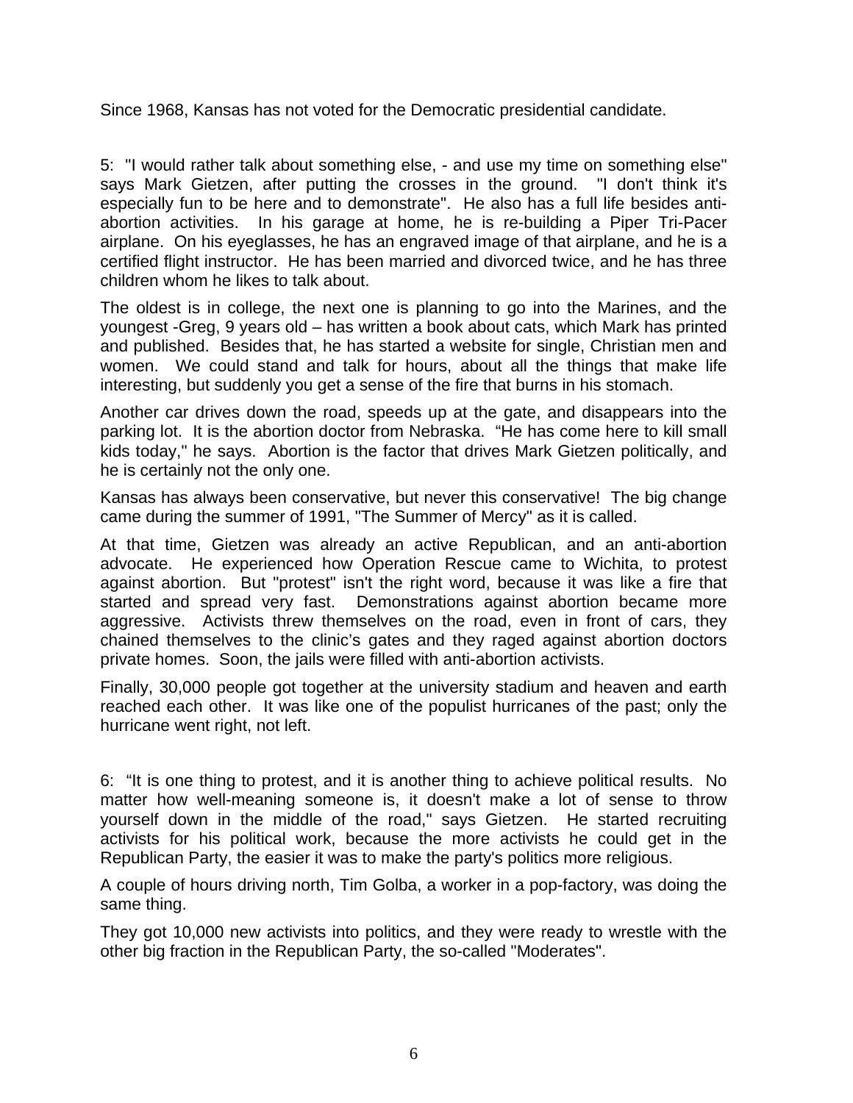Since 1968, Kansas has not voted for the Democratic presidential candidate.

5: "I would rather talk about something else, - and use my time on something else" says Mark Gietzen, after putting the crosses in the ground. "I don't think it's especially fun to be here and to demonstrate". He also has a full life besides antiabortion activities. In his garage at home, he is re-building a Piper Tri-Pacer airplane. On his eyeglasses, he has an engraved image of that airplane, and he is a certified flight instructor. He has been married and divorced twice, and he has three children whom he likes to talk about.

The oldest is in college, the next one is planning to go into the Marines, and the youngest -Greg, 9 years old – has written a book about cats, which Mark has printed and published. Besides that, he has started a website for single, Christian men and women. We could stand and talk for hours, about all the things that make life interesting, but suddenly you get a sense of the fire that burns in his stomach.

Another car drives down the road, speeds up at the gate, and disappears into the parking lot. It is the abortion doctor from Nebraska. "He has come here to kill small kids today," he says. Abortion is the factor that drives Mark Gietzen politically, and he is certainly not the only one.

Kansas has always been conservative, but never this conservative! The big change came during the summer of 1991, "The Summer of Mercy" as it is called.

At that time, Gietzen was already an active Republican, and an anti-abortion advocate. He experienced how Operation Rescue came to Wichita, to protest against abortion. But "protest" isn't the right word, because it was like a fire that started and spread very fast. Demonstrations against abortion became more aggressive. Activists threw themselves on the road, even in front of cars, they chained themselves to the clinic's gates and they raged against abortion doctors private homes. Soon, the jails were filled with anti-abortion activists.

Finally, 30,000 people got together at the university stadium and heaven and earth reached each other. It was like one of the populist hurricanes of the past; only the hurricane went right, not left.

6: "It is one thing to protest, and it is another thing to achieve political results. No matter how well-meaning someone is, it doesn't make a lot of sense to throw yourself down in the middle of the road," says Gietzen. He started recruiting activists for his political work, because the more activists he could get in the Republican Party, the easier it was to make the party's politics more religious.

A couple of hours driving north, Tim Golba, a worker in a pop-factory, was doing the same thing.

They got 10,000 new activists into politics, and they were ready to wrestle with the other big fraction in the Republican Party, the so-called "Moderates".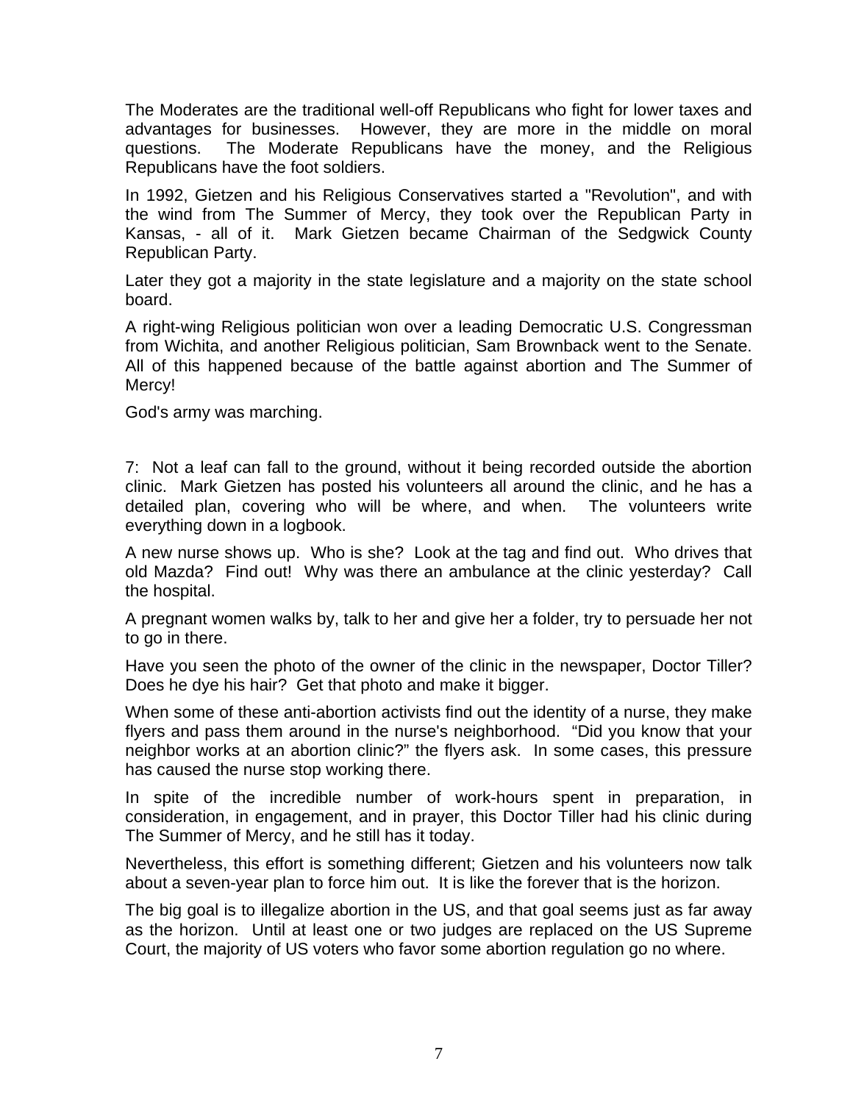The Moderates are the traditional well-off Republicans who fight for lower taxes and advantages for businesses. However, they are more in the middle on moral questions. The Moderate Republicans have the money, and the Religious Republicans have the foot soldiers.

In 1992, Gietzen and his Religious Conservatives started a "Revolution", and with the wind from The Summer of Mercy, they took over the Republican Party in Kansas, - all of it. Mark Gietzen became Chairman of the Sedgwick County Republican Party.

Later they got a majority in the state legislature and a majority on the state school board.

A right-wing Religious politician won over a leading Democratic U.S. Congressman from Wichita, and another Religious politician, Sam Brownback went to the Senate. All of this happened because of the battle against abortion and The Summer of Mercy!

God's army was marching.

7: Not a leaf can fall to the ground, without it being recorded outside the abortion clinic. Mark Gietzen has posted his volunteers all around the clinic, and he has a detailed plan, covering who will be where, and when. The volunteers write everything down in a logbook.

A new nurse shows up. Who is she? Look at the tag and find out. Who drives that old Mazda? Find out! Why was there an ambulance at the clinic yesterday? Call the hospital.

A pregnant women walks by, talk to her and give her a folder, try to persuade her not to go in there.

Have you seen the photo of the owner of the clinic in the newspaper, Doctor Tiller? Does he dye his hair? Get that photo and make it bigger.

When some of these anti-abortion activists find out the identity of a nurse, they make flyers and pass them around in the nurse's neighborhood. "Did you know that your neighbor works at an abortion clinic?" the flyers ask. In some cases, this pressure has caused the nurse stop working there.

In spite of the incredible number of work-hours spent in preparation, in consideration, in engagement, and in prayer, this Doctor Tiller had his clinic during The Summer of Mercy, and he still has it today.

Nevertheless, this effort is something different; Gietzen and his volunteers now talk about a seven-year plan to force him out. It is like the forever that is the horizon.

The big goal is to illegalize abortion in the US, and that goal seems just as far away as the horizon. Until at least one or two judges are replaced on the US Supreme Court, the majority of US voters who favor some abortion regulation go no where.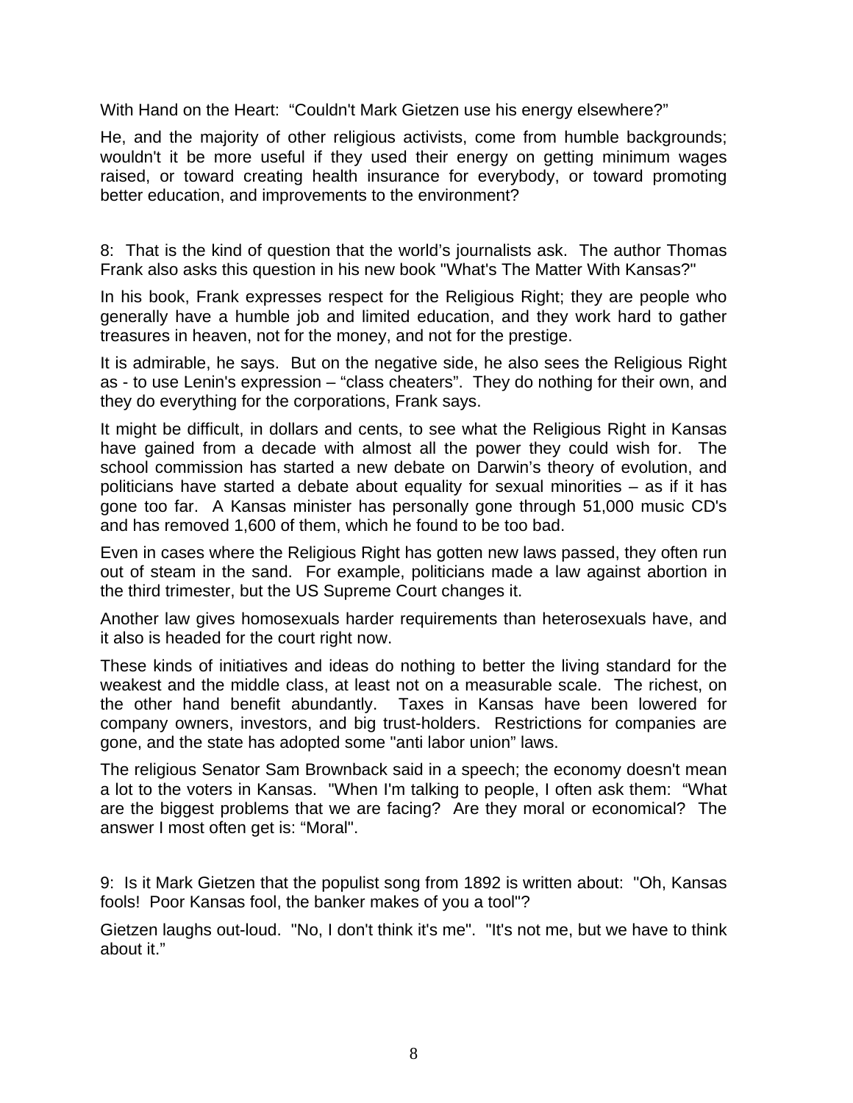With Hand on the Heart: "Couldn't Mark Gietzen use his energy elsewhere?"

He, and the majority of other religious activists, come from humble backgrounds; wouldn't it be more useful if they used their energy on getting minimum wages raised, or toward creating health insurance for everybody, or toward promoting better education, and improvements to the environment?

8: That is the kind of question that the world's journalists ask. The author Thomas Frank also asks this question in his new book "What's The Matter With Kansas?"

In his book, Frank expresses respect for the Religious Right; they are people who generally have a humble job and limited education, and they work hard to gather treasures in heaven, not for the money, and not for the prestige.

It is admirable, he says. But on the negative side, he also sees the Religious Right as - to use Lenin's expression – "class cheaters". They do nothing for their own, and they do everything for the corporations, Frank says.

It might be difficult, in dollars and cents, to see what the Religious Right in Kansas have gained from a decade with almost all the power they could wish for. The school commission has started a new debate on Darwin's theory of evolution, and politicians have started a debate about equality for sexual minorities – as if it has gone too far. A Kansas minister has personally gone through 51,000 music CD's and has removed 1,600 of them, which he found to be too bad.

Even in cases where the Religious Right has gotten new laws passed, they often run out of steam in the sand. For example, politicians made a law against abortion in the third trimester, but the US Supreme Court changes it.

Another law gives homosexuals harder requirements than heterosexuals have, and it also is headed for the court right now.

These kinds of initiatives and ideas do nothing to better the living standard for the weakest and the middle class, at least not on a measurable scale. The richest, on the other hand benefit abundantly. Taxes in Kansas have been lowered for company owners, investors, and big trust-holders. Restrictions for companies are gone, and the state has adopted some "anti labor union" laws.

The religious Senator Sam Brownback said in a speech; the economy doesn't mean a lot to the voters in Kansas. "When I'm talking to people, I often ask them: "What are the biggest problems that we are facing? Are they moral or economical? The answer I most often get is: "Moral".

9: Is it Mark Gietzen that the populist song from 1892 is written about: "Oh, Kansas fools! Poor Kansas fool, the banker makes of you a tool"?

Gietzen laughs out-loud. "No, I don't think it's me". "It's not me, but we have to think about it."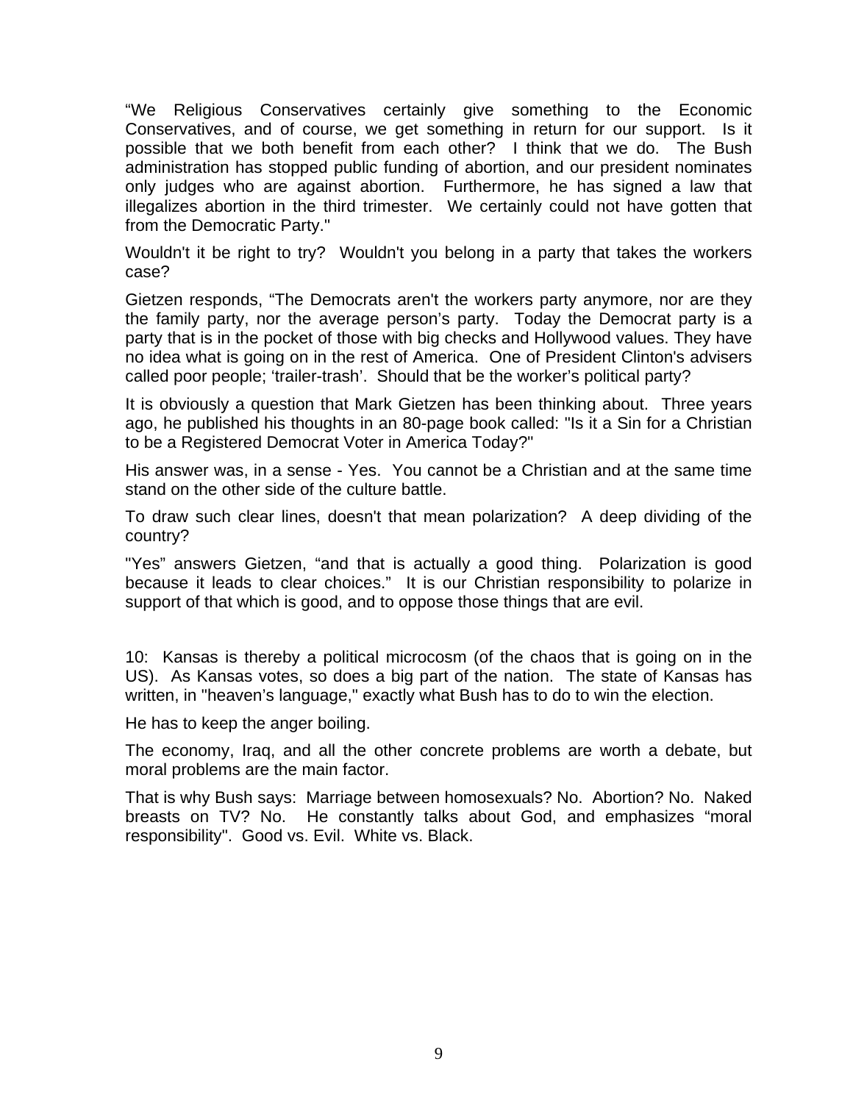"We Religious Conservatives certainly give something to the Economic Conservatives, and of course, we get something in return for our support. Is it possible that we both benefit from each other? I think that we do. The Bush administration has stopped public funding of abortion, and our president nominates only judges who are against abortion. Furthermore, he has signed a law that illegalizes abortion in the third trimester. We certainly could not have gotten that from the Democratic Party."

Wouldn't it be right to try? Wouldn't you belong in a party that takes the workers case?

Gietzen responds, "The Democrats aren't the workers party anymore, nor are they the family party, nor the average person's party. Today the Democrat party is a party that is in the pocket of those with big checks and Hollywood values. They have no idea what is going on in the rest of America. One of President Clinton's advisers called poor people; 'trailer-trash'. Should that be the worker's political party?

It is obviously a question that Mark Gietzen has been thinking about. Three years ago, he published his thoughts in an 80-page book called: "Is it a Sin for a Christian to be a Registered Democrat Voter in America Today?"

His answer was, in a sense - Yes. You cannot be a Christian and at the same time stand on the other side of the culture battle.

To draw such clear lines, doesn't that mean polarization? A deep dividing of the country?

"Yes" answers Gietzen, "and that is actually a good thing. Polarization is good because it leads to clear choices." It is our Christian responsibility to polarize in support of that which is good, and to oppose those things that are evil.

10: Kansas is thereby a political microcosm (of the chaos that is going on in the US). As Kansas votes, so does a big part of the nation. The state of Kansas has written, in "heaven's language," exactly what Bush has to do to win the election.

He has to keep the anger boiling.

The economy, Iraq, and all the other concrete problems are worth a debate, but moral problems are the main factor.

That is why Bush says: Marriage between homosexuals? No. Abortion? No. Naked breasts on TV? No. He constantly talks about God, and emphasizes "moral responsibility". Good vs. Evil. White vs. Black.